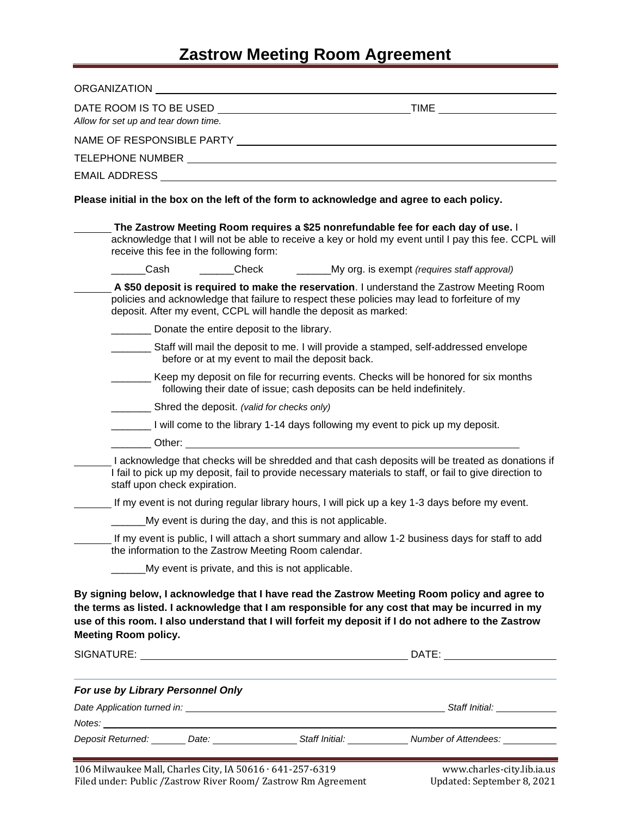## **Zastrow Meeting Room Agreement**

| ORGANIZATION <b>Example 2018</b>                                                           |                                                                        |                                                                                                                                                                                                                                                                                                           |
|--------------------------------------------------------------------------------------------|------------------------------------------------------------------------|-----------------------------------------------------------------------------------------------------------------------------------------------------------------------------------------------------------------------------------------------------------------------------------------------------------|
| DATE ROOM IS TO BE USED                                                                    |                                                                        | <u>TIME TIME TELEVISION CONTINUES IN THE SERVICE OF THE SERVICE OF THE SERVICE OF THE SERVICE OF THE SERVICE OF T</u>                                                                                                                                                                                     |
| Allow for set up and tear down time.                                                       |                                                                        |                                                                                                                                                                                                                                                                                                           |
|                                                                                            |                                                                        |                                                                                                                                                                                                                                                                                                           |
|                                                                                            |                                                                        |                                                                                                                                                                                                                                                                                                           |
|                                                                                            |                                                                        |                                                                                                                                                                                                                                                                                                           |
| Please initial in the box on the left of the form to acknowledge and agree to each policy. |                                                                        |                                                                                                                                                                                                                                                                                                           |
|                                                                                            | receive this fee in the following form:                                | The Zastrow Meeting Room requires a \$25 nonrefundable fee for each day of use. I<br>acknowledge that I will not be able to receive a key or hold my event until I pay this fee. CCPL will                                                                                                                |
| Cash                                                                                       |                                                                        | ______Check _______________My org. is exempt (requires staff approval)                                                                                                                                                                                                                                    |
|                                                                                            | deposit. After my event, CCPL will handle the deposit as marked:       | A \$50 deposit is required to make the reservation. I understand the Zastrow Meeting Room<br>policies and acknowledge that failure to respect these policies may lead to forfeiture of my                                                                                                                 |
|                                                                                            | Donate the entire deposit to the library.                              |                                                                                                                                                                                                                                                                                                           |
|                                                                                            | before or at my event to mail the deposit back.                        | Staff will mail the deposit to me. I will provide a stamped, self-addressed envelope                                                                                                                                                                                                                      |
|                                                                                            | following their date of issue; cash deposits can be held indefinitely. | Keep my deposit on file for recurring events. Checks will be honored for six months                                                                                                                                                                                                                       |
|                                                                                            | Shred the deposit. (valid for checks only)                             |                                                                                                                                                                                                                                                                                                           |
|                                                                                            |                                                                        | I will come to the library 1-14 days following my event to pick up my deposit.                                                                                                                                                                                                                            |
|                                                                                            |                                                                        |                                                                                                                                                                                                                                                                                                           |
| staff upon check expiration.                                                               |                                                                        | I acknowledge that checks will be shredded and that cash deposits will be treated as donations if<br>I fail to pick up my deposit, fail to provide necessary materials to staff, or fail to give direction to                                                                                             |
|                                                                                            |                                                                        | If my event is not during regular library hours, I will pick up a key 1-3 days before my event.                                                                                                                                                                                                           |
|                                                                                            | My event is during the day, and this is not applicable.                |                                                                                                                                                                                                                                                                                                           |
|                                                                                            | the information to the Zastrow Meeting Room calendar.                  | If my event is public, I will attach a short summary and allow 1-2 business days for staff to add                                                                                                                                                                                                         |
|                                                                                            | My event is private, and this is not applicable.                       |                                                                                                                                                                                                                                                                                                           |
| <b>Meeting Room policy.</b>                                                                |                                                                        | By signing below, I acknowledge that I have read the Zastrow Meeting Room policy and agree to<br>the terms as listed. I acknowledge that I am responsible for any cost that may be incurred in my<br>use of this room. I also understand that I will forfeit my deposit if I do not adhere to the Zastrow |
|                                                                                            |                                                                        |                                                                                                                                                                                                                                                                                                           |
| For use by Library Personnel Only                                                          |                                                                        |                                                                                                                                                                                                                                                                                                           |
|                                                                                            |                                                                        |                                                                                                                                                                                                                                                                                                           |
|                                                                                            |                                                                        |                                                                                                                                                                                                                                                                                                           |
|                                                                                            |                                                                        | Deposit Returned: _______ Date: ___________________ Staff Initial: _____________ Number of Attendees: _________                                                                                                                                                                                           |
| $10C$ Milwoulses Mall Charles City JA FOC1C C41 257 (210)                                  |                                                                        | survey also allows after like to see.                                                                                                                                                                                                                                                                     |